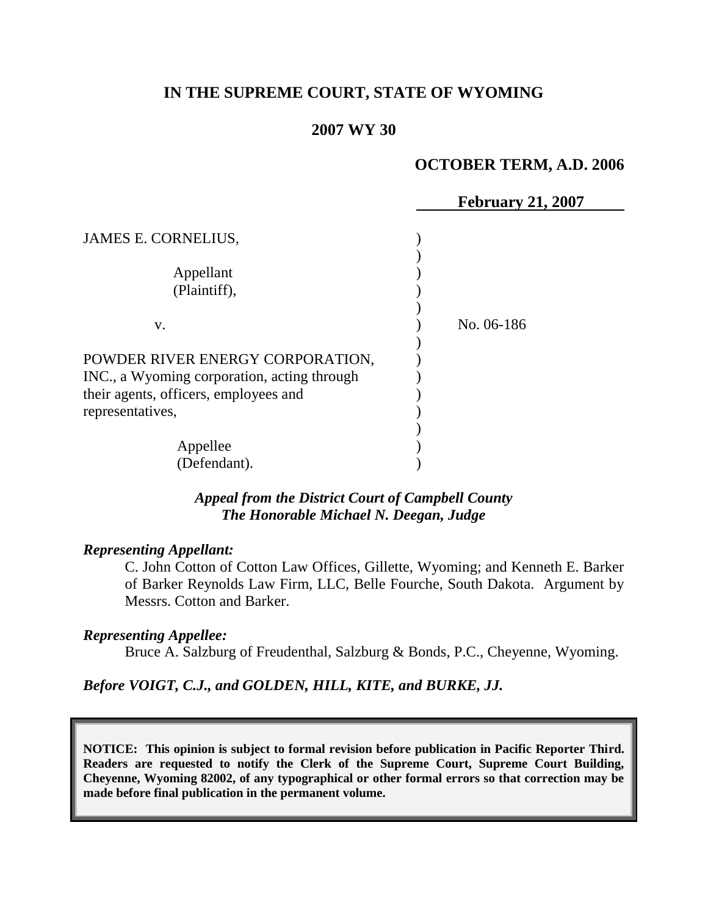# **IN THE SUPREME COURT, STATE OF WYOMING**

### **2007 WY 30**

### **OCTOBER TERM, A.D. 2006**

|                                             | <b>February 21, 2007</b> |
|---------------------------------------------|--------------------------|
|                                             |                          |
| JAMES E. CORNELIUS,                         |                          |
|                                             |                          |
| Appellant                                   |                          |
| (Plaintiff),                                |                          |
|                                             |                          |
| V.                                          | No. 06-186               |
|                                             |                          |
| POWDER RIVER ENERGY CORPORATION,            |                          |
| INC., a Wyoming corporation, acting through |                          |
| their agents, officers, employees and       |                          |
| representatives,                            |                          |
|                                             |                          |
| Appellee                                    |                          |
| (Defendant).                                |                          |

### *Appeal from the District Court of Campbell County The Honorable Michael N. Deegan, Judge*

#### *Representing Appellant:*

C. John Cotton of Cotton Law Offices, Gillette, Wyoming; and Kenneth E. Barker of Barker Reynolds Law Firm, LLC, Belle Fourche, South Dakota. Argument by Messrs. Cotton and Barker.

#### *Representing Appellee:*

Bruce A. Salzburg of Freudenthal, Salzburg & Bonds, P.C., Cheyenne, Wyoming.

#### *Before VOIGT, C.J., and GOLDEN, HILL, KITE, and BURKE, JJ.*

**NOTICE: This opinion is subject to formal revision before publication in Pacific Reporter Third. Readers are requested to notify the Clerk of the Supreme Court, Supreme Court Building, Cheyenne, Wyoming 82002, of any typographical or other formal errors so that correction may be made before final publication in the permanent volume.**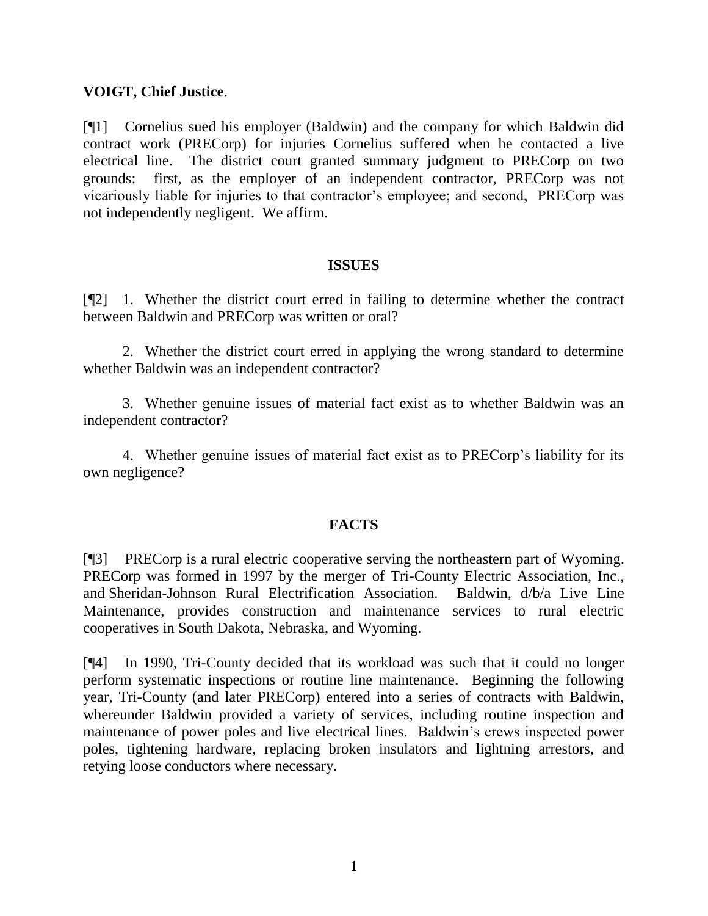### **VOIGT, Chief Justice**.

[¶1] Cornelius sued his employer (Baldwin) and the company for which Baldwin did contract work (PRECorp) for injuries Cornelius suffered when he contacted a live electrical line. The district court granted summary judgment to PRECorp on two grounds: first, as the employer of an independent contractor, PRECorp was not vicariously liable for injuries to that contractor's employee; and second, PRECorp was not independently negligent. We affirm.

### **ISSUES**

[¶2] 1. Whether the district court erred in failing to determine whether the contract between Baldwin and PRECorp was written or oral?

2. Whether the district court erred in applying the wrong standard to determine whether Baldwin was an independent contractor?

3. Whether genuine issues of material fact exist as to whether Baldwin was an independent contractor?

4. Whether genuine issues of material fact exist as to PRECorp's liability for its own negligence?

### **FACTS**

[¶3] PRECorp is a rural electric cooperative serving the northeastern part of Wyoming. PRECorp was formed in 1997 by the merger of Tri-County Electric Association, Inc., and Sheridan-Johnson Rural Electrification Association. Baldwin, d/b/a Live Line Maintenance, provides construction and maintenance services to rural electric cooperatives in South Dakota, Nebraska, and Wyoming.

[¶4] In 1990, Tri-County decided that its workload was such that it could no longer perform systematic inspections or routine line maintenance. Beginning the following year, Tri-County (and later PRECorp) entered into a series of contracts with Baldwin, whereunder Baldwin provided a variety of services, including routine inspection and maintenance of power poles and live electrical lines. Baldwin's crews inspected power poles, tightening hardware, replacing broken insulators and lightning arrestors, and retying loose conductors where necessary.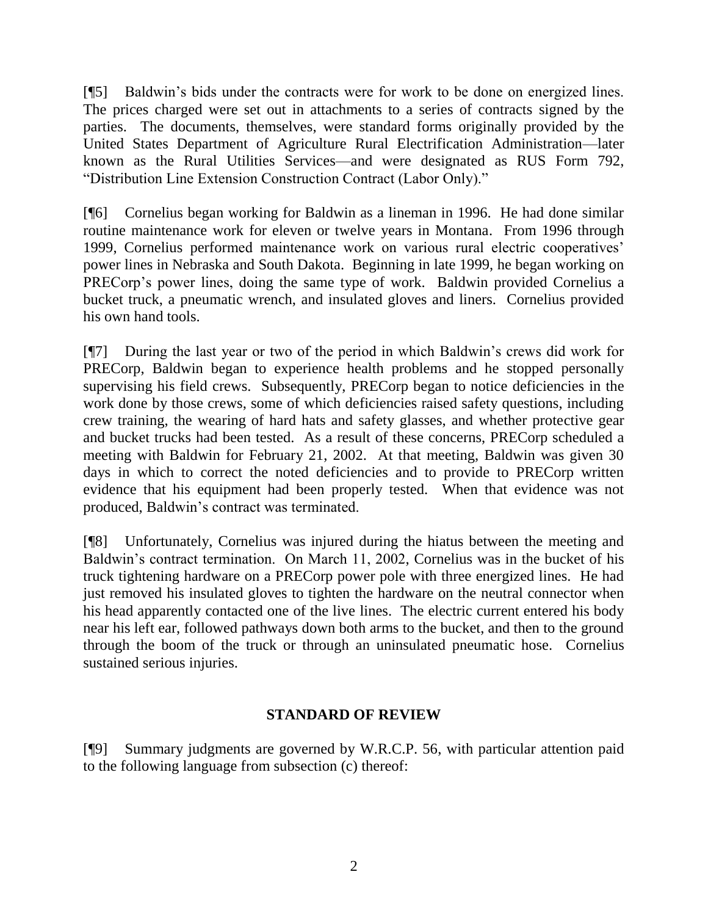[¶5] Baldwin's bids under the contracts were for work to be done on energized lines. The prices charged were set out in attachments to a series of contracts signed by the parties. The documents, themselves, were standard forms originally provided by the United States Department of Agriculture Rural Electrification Administration—later known as the Rural Utilities Services—and were designated as RUS Form 792, "Distribution Line Extension Construction Contract (Labor Only)."

[¶6] Cornelius began working for Baldwin as a lineman in 1996. He had done similar routine maintenance work for eleven or twelve years in Montana. From 1996 through 1999, Cornelius performed maintenance work on various rural electric cooperatives' power lines in Nebraska and South Dakota. Beginning in late 1999, he began working on PRECorp's power lines, doing the same type of work. Baldwin provided Cornelius a bucket truck, a pneumatic wrench, and insulated gloves and liners. Cornelius provided his own hand tools.

[¶7] During the last year or two of the period in which Baldwin's crews did work for PRECorp, Baldwin began to experience health problems and he stopped personally supervising his field crews. Subsequently, PRECorp began to notice deficiencies in the work done by those crews, some of which deficiencies raised safety questions, including crew training, the wearing of hard hats and safety glasses, and whether protective gear and bucket trucks had been tested. As a result of these concerns, PRECorp scheduled a meeting with Baldwin for February 21, 2002. At that meeting, Baldwin was given 30 days in which to correct the noted deficiencies and to provide to PRECorp written evidence that his equipment had been properly tested. When that evidence was not produced, Baldwin's contract was terminated.

[¶8] Unfortunately, Cornelius was injured during the hiatus between the meeting and Baldwin's contract termination. On March 11, 2002, Cornelius was in the bucket of his truck tightening hardware on a PRECorp power pole with three energized lines. He had just removed his insulated gloves to tighten the hardware on the neutral connector when his head apparently contacted one of the live lines. The electric current entered his body near his left ear, followed pathways down both arms to the bucket, and then to the ground through the boom of the truck or through an uninsulated pneumatic hose. Cornelius sustained serious injuries.

# **STANDARD OF REVIEW**

[¶9] Summary judgments are governed by W.R.C.P. 56, with particular attention paid to the following language from subsection (c) thereof: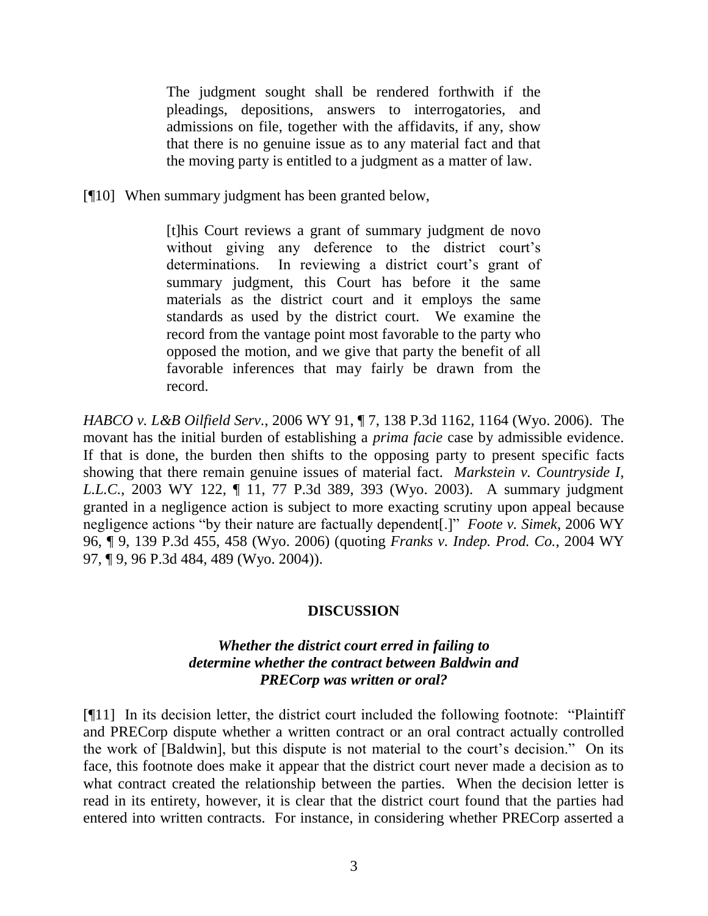The judgment sought shall be rendered forthwith if the pleadings, depositions, answers to interrogatories, and admissions on file, together with the affidavits, if any, show that there is no genuine issue as to any material fact and that the moving party is entitled to a judgment as a matter of law.

[¶10] When summary judgment has been granted below,

[t]his Court reviews a grant of summary judgment de novo without giving any deference to the district court's determinations. In reviewing a district court's grant of summary judgment, this Court has before it the same materials as the district court and it employs the same standards as used by the district court. We examine the record from the vantage point most favorable to the party who opposed the motion, and we give that party the benefit of all favorable inferences that may fairly be drawn from the record.

*HABCO v. L&B Oilfield Serv.*, 2006 WY 91, ¶ 7, 138 P.3d 1162, 1164 (Wyo. 2006). The movant has the initial burden of establishing a *prima facie* case by admissible evidence. If that is done, the burden then shifts to the opposing party to present specific facts showing that there remain genuine issues of material fact. *Markstein v. Countryside I, L.L.C.*, 2003 WY 122, ¶ 11, 77 P.3d 389, 393 (Wyo. 2003). A summary judgment granted in a negligence action is subject to more exacting scrutiny upon appeal because negligence actions "by their nature are factually dependent[.]" *Foote v. Simek*, 2006 WY 96, ¶ 9, 139 P.3d 455, 458 (Wyo. 2006) (quoting *Franks v. Indep. Prod. Co.*, 2004 WY 97, ¶ 9, 96 P.3d 484, 489 (Wyo. 2004)).

# **DISCUSSION**

### *Whether the district court erred in failing to determine whether the contract between Baldwin and PRECorp was written or oral?*

[¶11] In its decision letter, the district court included the following footnote: "Plaintiff" and PRECorp dispute whether a written contract or an oral contract actually controlled the work of [Baldwin], but this dispute is not material to the court's decision." On its face, this footnote does make it appear that the district court never made a decision as to what contract created the relationship between the parties. When the decision letter is read in its entirety, however, it is clear that the district court found that the parties had entered into written contracts. For instance, in considering whether PRECorp asserted a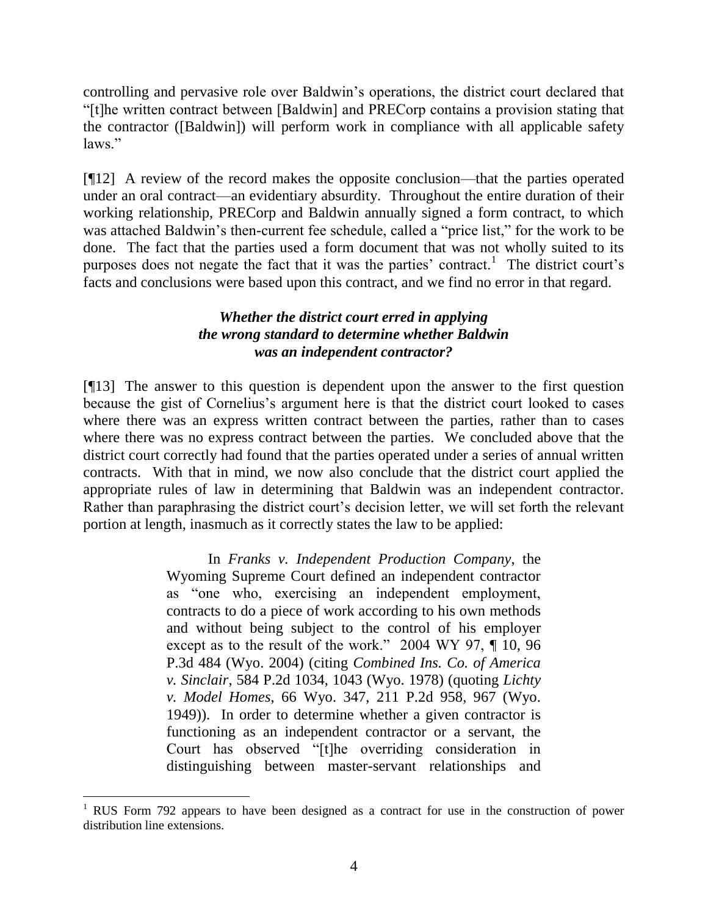controlling and pervasive role over Baldwin's operations, the district court declared that ―[t]he written contract between [Baldwin] and PRECorp contains a provision stating that the contractor ([Baldwin]) will perform work in compliance with all applicable safety laws."

[¶12] A review of the record makes the opposite conclusion—that the parties operated under an oral contract—an evidentiary absurdity. Throughout the entire duration of their working relationship, PRECorp and Baldwin annually signed a form contract, to which was attached Baldwin's then-current fee schedule, called a "price list," for the work to be done. The fact that the parties used a form document that was not wholly suited to its purposes does not negate the fact that it was the parties' contract.<sup>1</sup> The district court's facts and conclusions were based upon this contract, and we find no error in that regard.

# *Whether the district court erred in applying the wrong standard to determine whether Baldwin was an independent contractor?*

[¶13] The answer to this question is dependent upon the answer to the first question because the gist of Cornelius's argument here is that the district court looked to cases where there was an express written contract between the parties, rather than to cases where there was no express contract between the parties. We concluded above that the district court correctly had found that the parties operated under a series of annual written contracts. With that in mind, we now also conclude that the district court applied the appropriate rules of law in determining that Baldwin was an independent contractor. Rather than paraphrasing the district court's decision letter, we will set forth the relevant portion at length, inasmuch as it correctly states the law to be applied:

> In *Franks v. Independent Production Company*, the Wyoming Supreme Court defined an independent contractor as "one who, exercising an independent employment, contracts to do a piece of work according to his own methods and without being subject to the control of his employer except as to the result of the work." 2004 WY 97,  $\P$  10, 96 P.3d 484 (Wyo. 2004) (citing *Combined Ins. Co. of America v. Sinclair*, 584 P.2d 1034, 1043 (Wyo. 1978) (quoting *Lichty v. Model Homes*, 66 Wyo. 347, 211 P.2d 958, 967 (Wyo. 1949)). In order to determine whether a given contractor is functioning as an independent contractor or a servant, the Court has observed "[t]he overriding consideration in distinguishing between master-servant relationships and

 $1$  RUS Form 792 appears to have been designed as a contract for use in the construction of power distribution line extensions.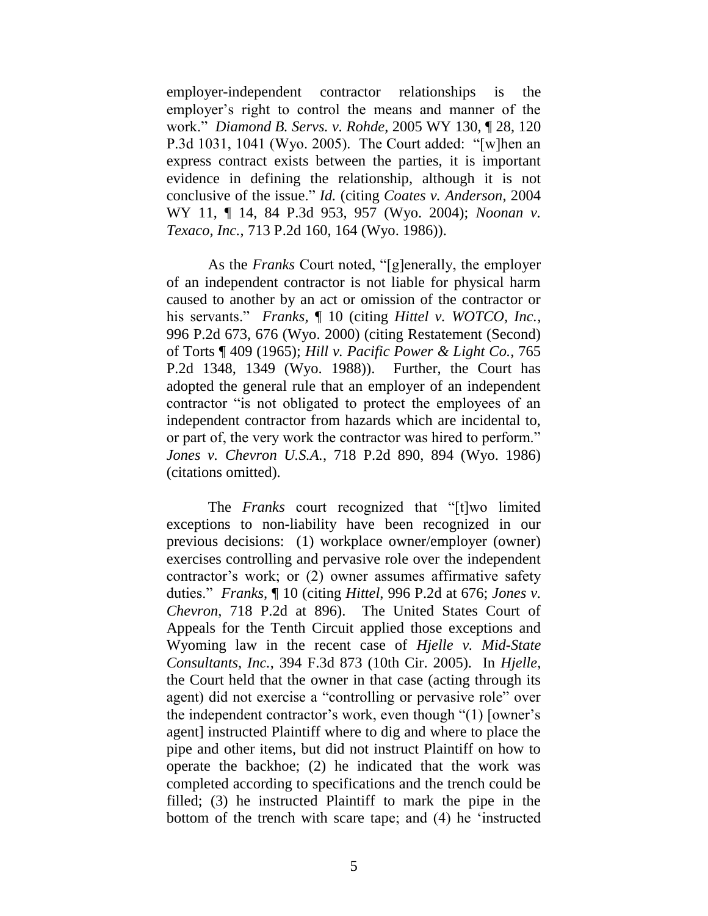employer-independent contractor relationships is the employer's right to control the means and manner of the work.‖ *Diamond B. Servs. v. Rohde*, 2005 WY 130, ¶ 28, 120 P.3d 1031, 1041 (Wyo. 2005). The Court added: "[w]hen an express contract exists between the parties, it is important evidence in defining the relationship, although it is not conclusive of the issue.‖ *Id.* (citing *Coates v. Anderson*, 2004 WY 11, ¶ 14, 84 P.3d 953, 957 (Wyo. 2004); *Noonan v. Texaco, Inc.*, 713 P.2d 160, 164 (Wyo. 1986)).

As the *Franks* Court noted, "[g]enerally, the employer of an independent contractor is not liable for physical harm caused to another by an act or omission of the contractor or his servants." *Franks*,  $\blacksquare$  10 (citing *Hittel v. WOTCO, Inc.*, 996 P.2d 673, 676 (Wyo. 2000) (citing Restatement (Second) of Torts ¶ 409 (1965); *Hill v. Pacific Power & Light Co.*, 765 P.2d 1348, 1349 (Wyo. 1988)). Further, the Court has adopted the general rule that an employer of an independent contractor "is not obligated to protect the employees of an independent contractor from hazards which are incidental to, or part of, the very work the contractor was hired to perform." *Jones v. Chevron U.S.A.*, 718 P.2d 890, 894 (Wyo. 1986) (citations omitted).

The *Franks* court recognized that "[t]wo limited exceptions to non-liability have been recognized in our previous decisions: (1) workplace owner/employer (owner) exercises controlling and pervasive role over the independent contractor's work; or (2) owner assumes affirmative safety duties.‖ *Franks,* ¶ 10 (citing *Hittel*, 996 P.2d at 676; *Jones v. Chevron*, 718 P.2d at 896). The United States Court of Appeals for the Tenth Circuit applied those exceptions and Wyoming law in the recent case of *Hjelle v. Mid-State Consultants, Inc.*, 394 F.3d 873 (10th Cir. 2005). In *Hjelle*, the Court held that the owner in that case (acting through its agent) did not exercise a "controlling or pervasive role" over the independent contractor's work, even though  $(1)$  [owner's agent] instructed Plaintiff where to dig and where to place the pipe and other items, but did not instruct Plaintiff on how to operate the backhoe; (2) he indicated that the work was completed according to specifications and the trench could be filled; (3) he instructed Plaintiff to mark the pipe in the bottom of the trench with scare tape; and  $(4)$  he 'instructed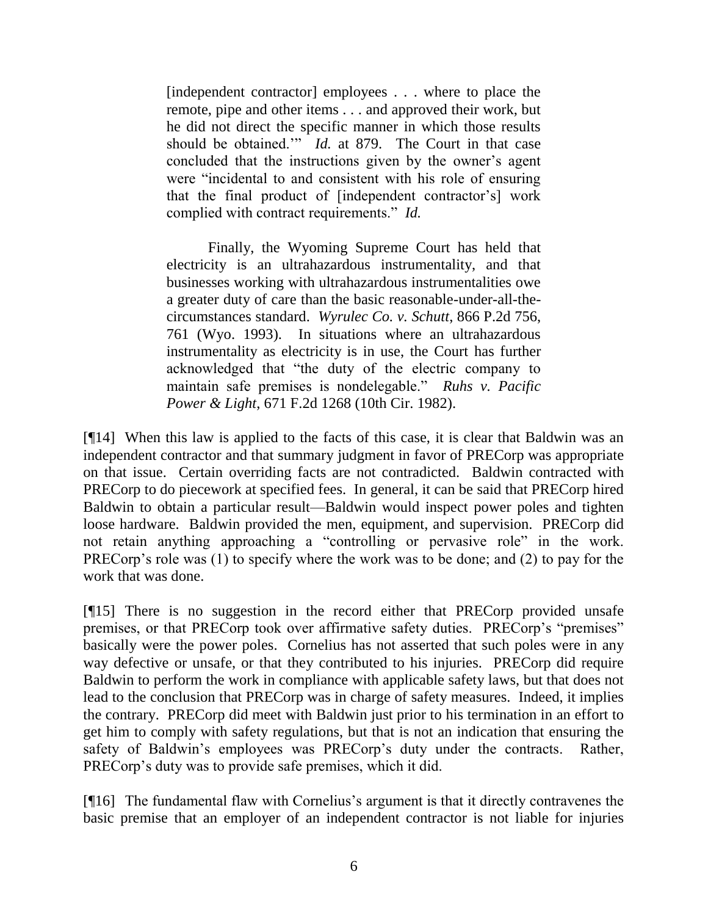[independent contractor] employees . . . where to place the remote, pipe and other items . . . and approved their work, but he did not direct the specific manner in which those results should be obtained." *Id.* at 879. The Court in that case concluded that the instructions given by the owner's agent were "incidental to and consistent with his role of ensuring that the final product of [independent contractor's] work complied with contract requirements." *Id.* 

Finally, the Wyoming Supreme Court has held that electricity is an ultrahazardous instrumentality, and that businesses working with ultrahazardous instrumentalities owe a greater duty of care than the basic reasonable-under-all-thecircumstances standard. *Wyrulec Co. v. Schutt*, 866 P.2d 756, 761 (Wyo. 1993). In situations where an ultrahazardous instrumentality as electricity is in use, the Court has further acknowledged that "the duty of the electric company to maintain safe premises is nondelegable." *Ruhs v. Pacific Power & Light*, 671 F.2d 1268 (10th Cir. 1982).

[¶14] When this law is applied to the facts of this case, it is clear that Baldwin was an independent contractor and that summary judgment in favor of PRECorp was appropriate on that issue. Certain overriding facts are not contradicted. Baldwin contracted with PRECorp to do piecework at specified fees. In general, it can be said that PRECorp hired Baldwin to obtain a particular result—Baldwin would inspect power poles and tighten loose hardware. Baldwin provided the men, equipment, and supervision. PRECorp did not retain anything approaching a "controlling or pervasive role" in the work. PRECorp's role was (1) to specify where the work was to be done; and (2) to pay for the work that was done.

[¶15] There is no suggestion in the record either that PRECorp provided unsafe premises, or that PRECorp took over affirmative safety duties. PRECorp's "premises" basically were the power poles. Cornelius has not asserted that such poles were in any way defective or unsafe, or that they contributed to his injuries. PRECorp did require Baldwin to perform the work in compliance with applicable safety laws, but that does not lead to the conclusion that PRECorp was in charge of safety measures. Indeed, it implies the contrary. PRECorp did meet with Baldwin just prior to his termination in an effort to get him to comply with safety regulations, but that is not an indication that ensuring the safety of Baldwin's employees was PRECorp's duty under the contracts. Rather, PRECorp's duty was to provide safe premises, which it did.

[¶16] The fundamental flaw with Cornelius's argument is that it directly contravenes the basic premise that an employer of an independent contractor is not liable for injuries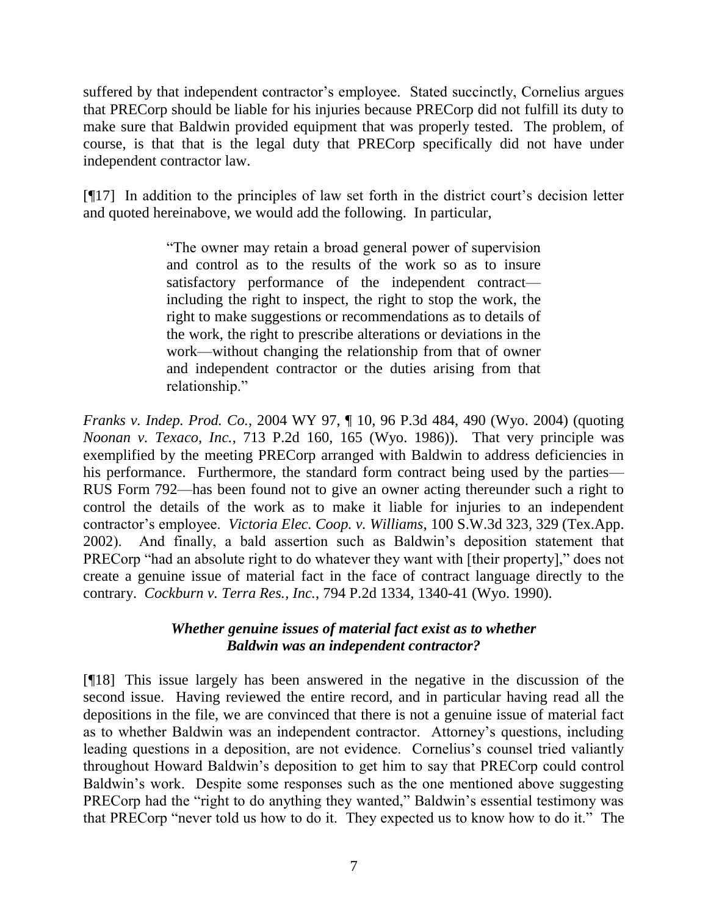suffered by that independent contractor's employee. Stated succinctly, Cornelius argues that PRECorp should be liable for his injuries because PRECorp did not fulfill its duty to make sure that Baldwin provided equipment that was properly tested. The problem, of course, is that that is the legal duty that PRECorp specifically did not have under independent contractor law.

[¶17] In addition to the principles of law set forth in the district court's decision letter and quoted hereinabove, we would add the following. In particular,

> ―The owner may retain a broad general power of supervision and control as to the results of the work so as to insure satisfactory performance of the independent contract including the right to inspect, the right to stop the work, the right to make suggestions or recommendations as to details of the work, the right to prescribe alterations or deviations in the work—without changing the relationship from that of owner and independent contractor or the duties arising from that relationship."

*Franks v. Indep. Prod. Co.*, 2004 WY 97, ¶ 10, 96 P.3d 484, 490 (Wyo. 2004) (quoting *Noonan v. Texaco, Inc.*, 713 P.2d 160, 165 (Wyo. 1986)). That very principle was exemplified by the meeting PRECorp arranged with Baldwin to address deficiencies in his performance. Furthermore, the standard form contract being used by the parties— RUS Form 792—has been found not to give an owner acting thereunder such a right to control the details of the work as to make it liable for injuries to an independent contractor's employee. *Victoria Elec. Coop. v. Williams*, 100 S.W.3d 323, 329 (Tex.App. 2002). And finally, a bald assertion such as Baldwin's deposition statement that PRECorp "had an absolute right to do whatever they want with [their property]," does not create a genuine issue of material fact in the face of contract language directly to the contrary. *Cockburn v. Terra Res., Inc.*, 794 P.2d 1334, 1340-41 (Wyo. 1990).

# *Whether genuine issues of material fact exist as to whether Baldwin was an independent contractor?*

[¶18] This issue largely has been answered in the negative in the discussion of the second issue. Having reviewed the entire record, and in particular having read all the depositions in the file, we are convinced that there is not a genuine issue of material fact as to whether Baldwin was an independent contractor. Attorney's questions, including leading questions in a deposition, are not evidence. Cornelius's counsel tried valiantly throughout Howard Baldwin's deposition to get him to say that PRECorp could control Baldwin's work. Despite some responses such as the one mentioned above suggesting PRECorp had the "right to do anything they wanted," Baldwin's essential testimony was that PRECorp "never told us how to do it. They expected us to know how to do it." The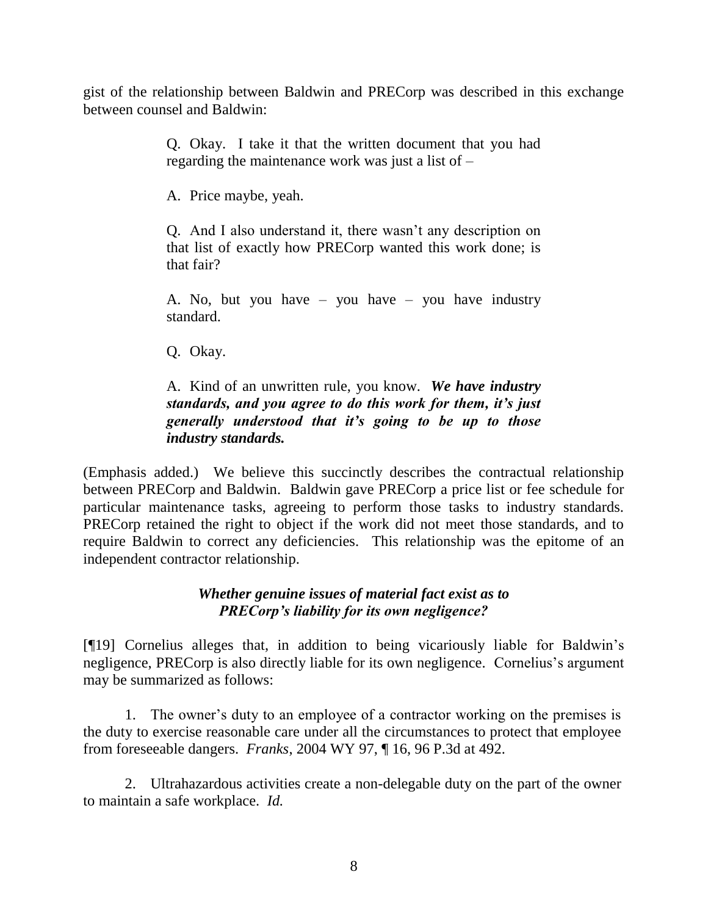gist of the relationship between Baldwin and PRECorp was described in this exchange between counsel and Baldwin:

> Q. Okay. I take it that the written document that you had regarding the maintenance work was just a list of –

A. Price maybe, yeah.

Q. And I also understand it, there wasn't any description on that list of exactly how PRECorp wanted this work done; is that fair?

A. No, but you have – you have – you have industry standard.

Q. Okay.

A. Kind of an unwritten rule, you know. *We have industry standards, and you agree to do this work for them, it's just generally understood that it's going to be up to those industry standards.*

(Emphasis added.) We believe this succinctly describes the contractual relationship between PRECorp and Baldwin. Baldwin gave PRECorp a price list or fee schedule for particular maintenance tasks, agreeing to perform those tasks to industry standards. PRECorp retained the right to object if the work did not meet those standards, and to require Baldwin to correct any deficiencies. This relationship was the epitome of an independent contractor relationship.

# *Whether genuine issues of material fact exist as to PRECorp's liability for its own negligence?*

[¶19] Cornelius alleges that, in addition to being vicariously liable for Baldwin's negligence, PRECorp is also directly liable for its own negligence. Cornelius's argument may be summarized as follows:

1. The owner's duty to an employee of a contractor working on the premises is the duty to exercise reasonable care under all the circumstances to protect that employee from foreseeable dangers. *Franks*, 2004 WY 97, ¶ 16, 96 P.3d at 492.

2. Ultrahazardous activities create a non-delegable duty on the part of the owner to maintain a safe workplace. *Id.*